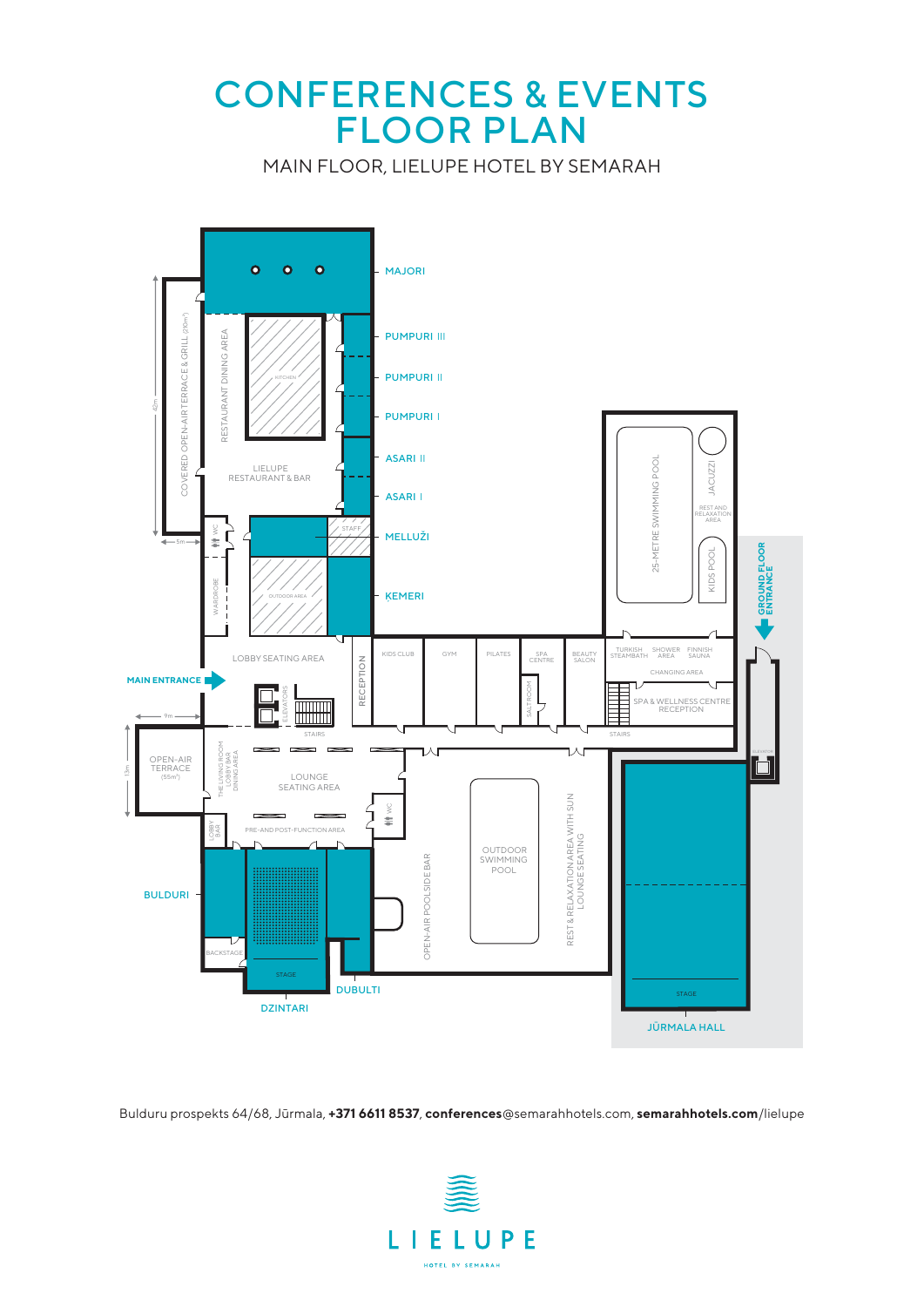### CONFERENCES & EVENTS FLOOR PLAN

MAIN FLOOR, LIELUPE HOTEL BY SEMARAH



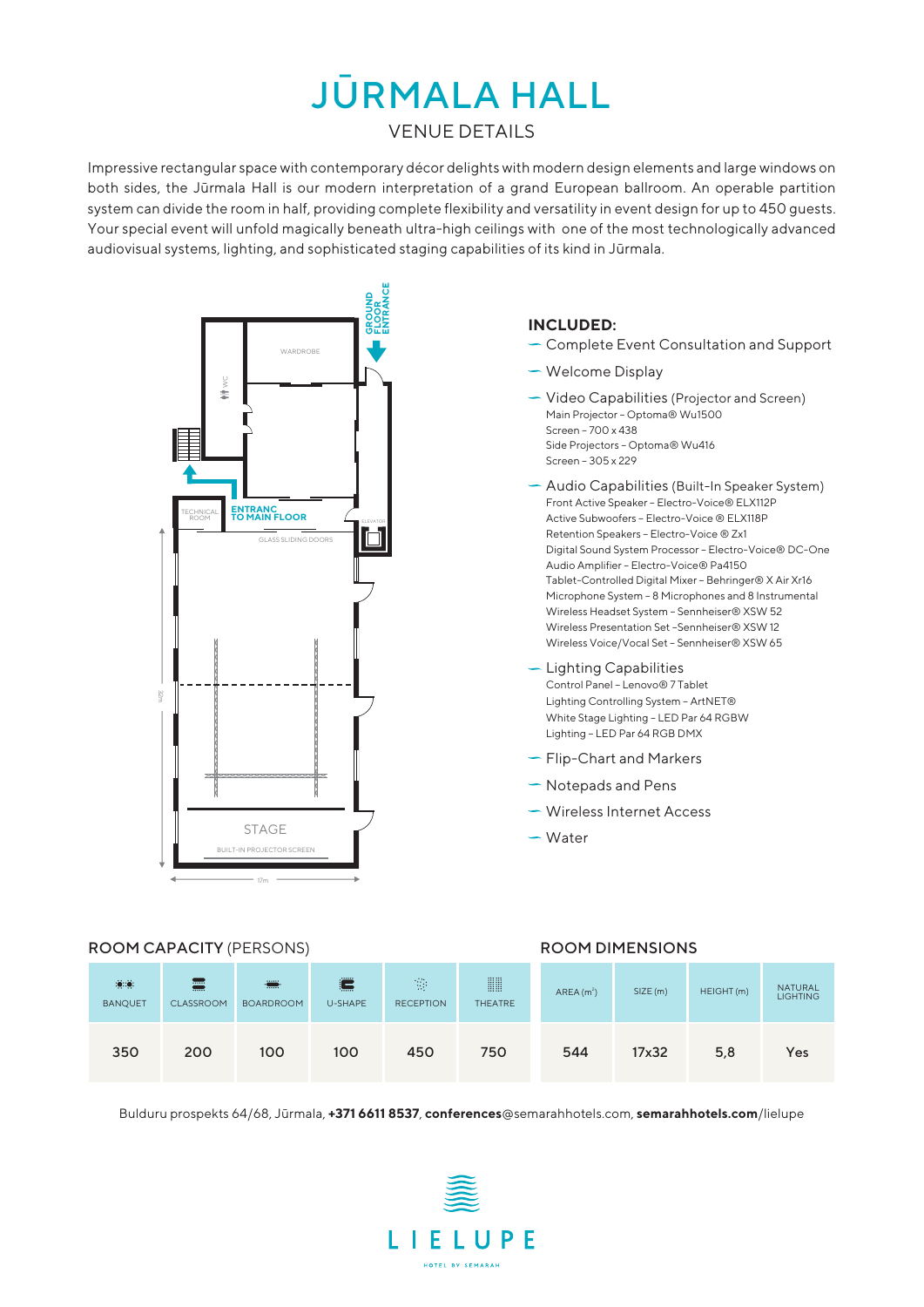# JŪRMALA HALL

#### VENUE DETAILS

Impressive rectangular space with contemporary décor delights with modern design elements and large windows on both sides, the Jūrmala Hall is our modern interpretation of a grand European ballroom. An operable partition system can divide the room in half, providing complete flexibility and versatility in event design for up to 450 guests. Your special event will unfold magically beneath ultra-high ceilings with one of the most technologically advanced audiovisual systems, lighting, and sophisticated staging capabilities of its kind in Jūrmala.



#### **INCLUDED:**

- Complete Event Consultation and Support
- Welcome Display
- **Video Capabilities (Projector and Screen)** Main Projector – Optoma® Wu1500 Screen – 700 x 438 Side Projectors – Optoma® Wu416 Screen – 305 x 229
- Audio Capabilities (Built-In Speaker System) Front Active Speaker – Electro-Voice® ELX112P Active Subwoofers – Electro-Voice ® ELX118P Retention Speakers – Electro-Voice ® Zx1 Digital Sound System Processor – Electro-Voice® DC-One Audio Amplifier – Electro-Voice® Pa4150 Tablet-Controlled Digital Mixer – Behringer® X Air Xr16 Microphone System – 8 Microphones and 8 Instrumental Wireless Headset System – Sennheiser® XSW 52 Wireless Presentation Set –Sennheiser® XSW 12 Wireless Voice/Vocal Set – Sennheiser® XSW 65
- $-$  Lighting Capabilities Control Panel – Lenovo® 7 Tablet Lighting Controlling System – ArtNET® White Stage Lighting – LED Par 64 RGBW Lighting – LED Par 64 RGB DMX
- $\overline{\phantom{a}}$  Flip-Chart and Markers
- $\overline{\phantom{a}}$  Notepads and Pens
- **Wireless Internet Access**
- Water

#### ROOM CAPACITY (PERSONS) The COMBINIST ROOM DIMENSIONS

| $\dddot{0}$ $\dddot{0}$ .<br><b>BANQUET</b> | 壽<br><b>CLASSROOM</b> | e a componente de la componente de la componente de la componente de la componente de la componente de la compo<br>De la componente de la componente de la componente de la componente de la componente de la componente de la co<br><b>BOARDROOM</b> | 1.1.1.1.1<br>ծաամ<br>U-SHAPE | $\mathbb{R}^3$<br><b>RECEPTION</b> | <b>WW</b><br><b>THEATRE</b> | AREA $(m2)$ | SIZE(m) | HEIGHT(m) | <b>NATURAL</b><br><b>LIGHTING</b> |
|---------------------------------------------|-----------------------|-------------------------------------------------------------------------------------------------------------------------------------------------------------------------------------------------------------------------------------------------------|------------------------------|------------------------------------|-----------------------------|-------------|---------|-----------|-----------------------------------|
| 350                                         | 200                   | 100                                                                                                                                                                                                                                                   | 100                          | 450                                | 750                         | 544         | 17x32   | 5,8       | Yes                               |

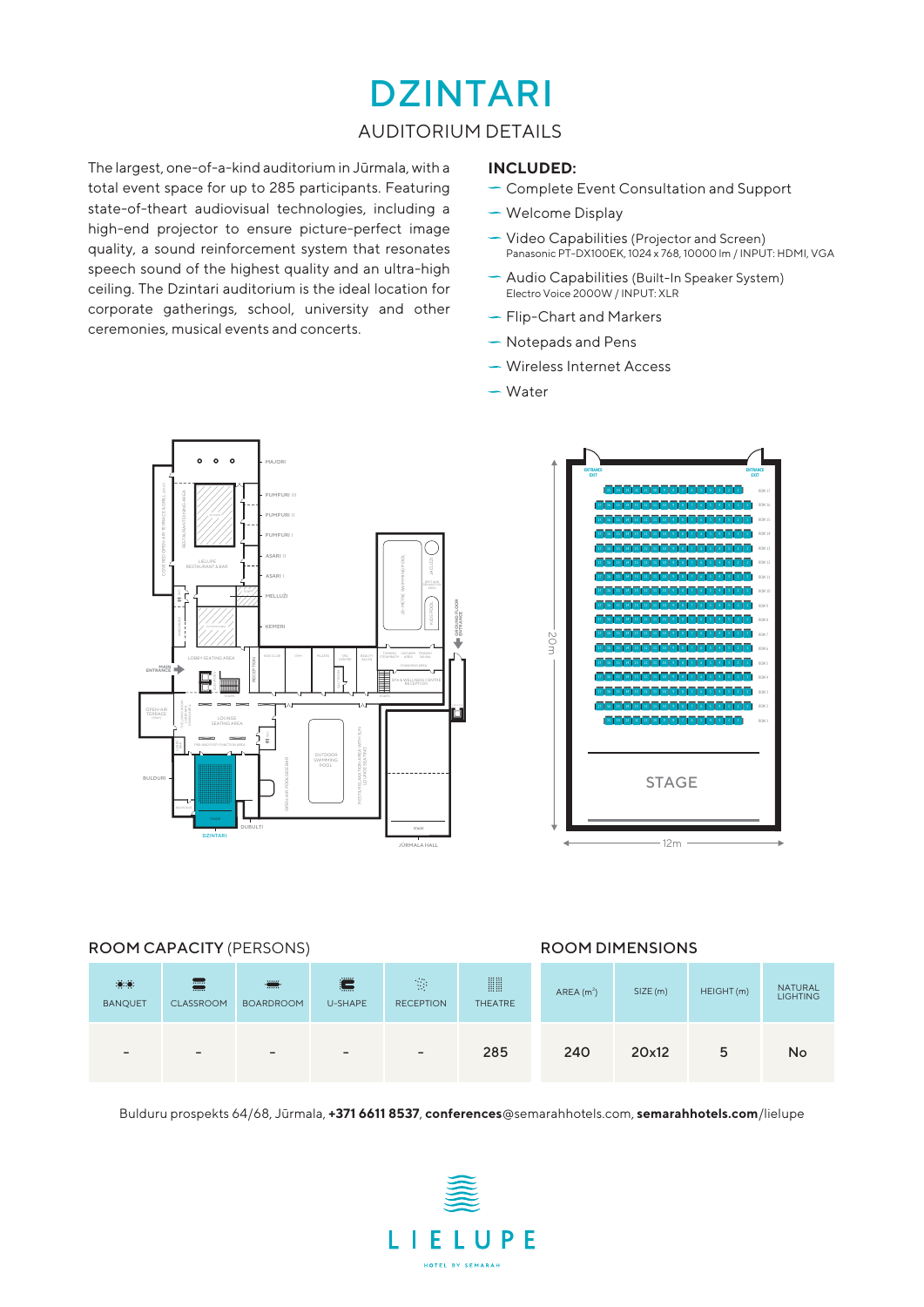### DZINTARI

#### AUDITORIUM DETAILS

The largest, one-of-a-kind auditorium in Jūrmala, with a total event space for up to 285 participants. Featuring state-of-theart audiovisual technologies, including a high-end projector to ensure picture-perfect image quality, a sound reinforcement system that resonates speech sound of the highest quality and an ultra-high ceiling. The Dzintari auditorium is the ideal location for corporate gatherings, school, university and other ceremonies, musical events and concerts.

#### **INCLUDED:**

- **Complete Event Consultation and Support**
- Welcome Display
- Video Capabilities (Projector and Screen) Panasonic PT-DX100EK, 1024 x 768, 10000 lm / INPUT: HDMI, VGA
- Audio Capabilities (Built-In Speaker System) Electro Voice 2000W / INPUT: XLR
- Flip-Chart and Markers
- Notepads and Pens
- Wireless Internet Access
- Water



#### ROOM CAPACITY (PERSONS) ROOM DIMENSIONS

| $\mathbf{0}$<br><b>BANQUET</b> | 壽<br>CLASSROOM               | <b>THE</b><br><b>BOARDROOM</b> | <br>E —<br>e e concel<br>U-SHAPE | $\mathcal{C}_{\mathcal{A}}$<br><b>RECEPTION</b> | <b>WH</b><br><b>THEATRE</b> | AREA(m <sup>2</sup> ) | SIZE (m) | HEIGHT (m) | <b>NATURAL</b><br><b>LIGHTING</b> |
|--------------------------------|------------------------------|--------------------------------|----------------------------------|-------------------------------------------------|-----------------------------|-----------------------|----------|------------|-----------------------------------|
| $\overline{\phantom{0}}$       | $\qquad \qquad \blacksquare$ | $\overline{\phantom{0}}$       | $\overline{\phantom{0}}$         | $\qquad \qquad -$                               | 285                         | 240                   | 20x12    | 5          | <b>No</b>                         |

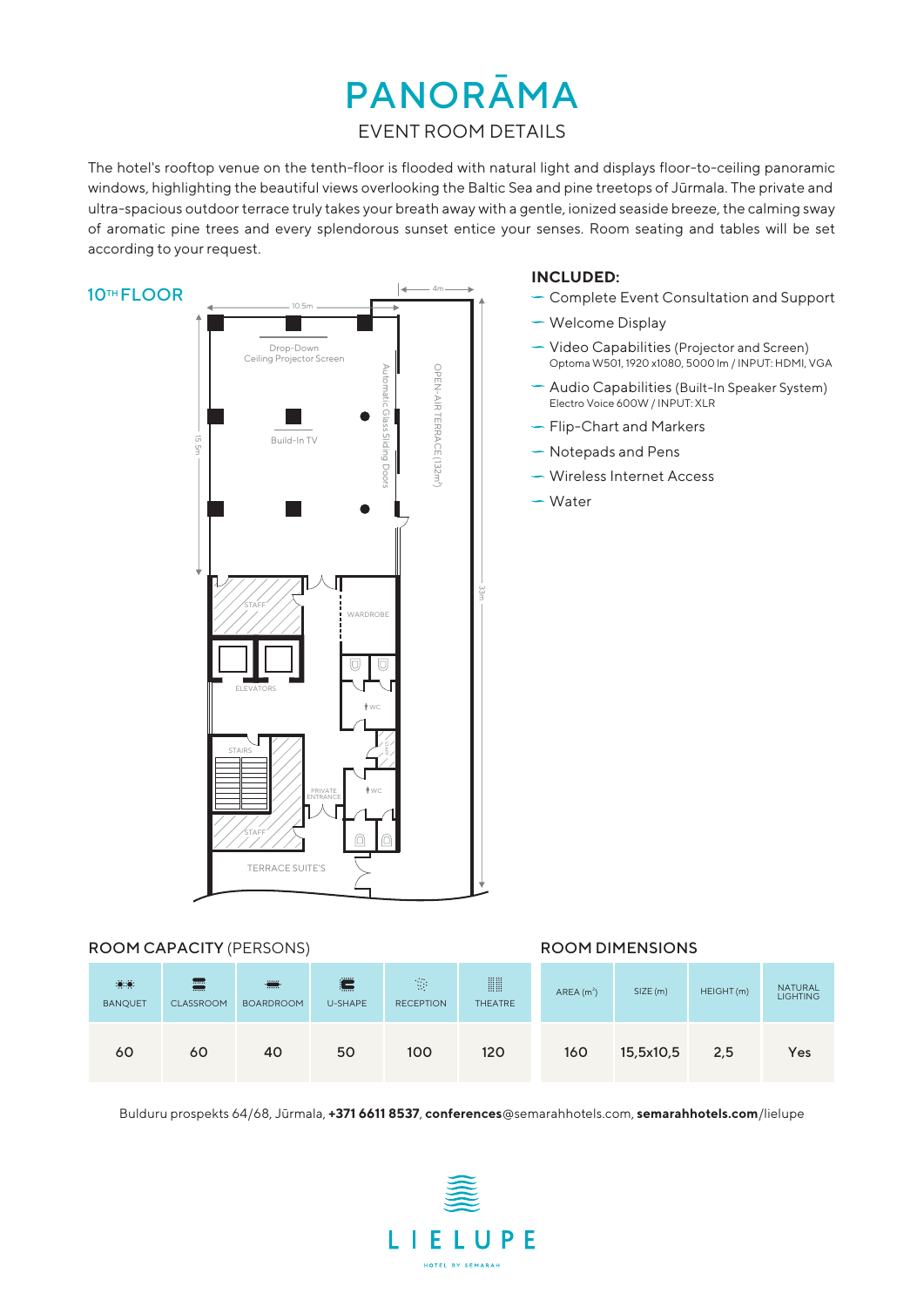## PANORĀMA

#### EVENT ROOM DETAILS

The hotel's rooftop venue on the tenth-floor is flooded with natural light and displays floor-to-ceiling panoramic windows, highlighting the beautiful views overlooking the Baltic Sea and pine treetops of Jūrmala. The private and ultra-spacious outdoor terrace truly takes your breath away with a gentle, ionized seaside breeze, the calming sway of aromatic pine trees and every splendorous sunset entice your senses. Room seating and tables will be set according to your request.



#### ROOM CAPACITY (PERSONS) ROOM DIMENSIONS

| $\mathbf{0}$<br><b>BANQUET</b> | 畺<br><b>CLASSROOM</b> | e de la provincia de la contección de la contecidad de la contección de la contección de la contección de la contección de la contección de la contección de la contección de la contección de la contección de la contección<br><b>BOARDROOM</b> | 100000<br>hamat 1<br>U-SHAPE | $\mathcal{O}_{\mathcal{A}}$<br><b>RECEPTION</b> | <b>WH</b><br><b>THEATRE</b> | AREA(m <sup>2</sup> ) | SIZE (m)  | HEIGHT(m) | <b>NATURAL</b><br><b>LIGHTING</b> |
|--------------------------------|-----------------------|---------------------------------------------------------------------------------------------------------------------------------------------------------------------------------------------------------------------------------------------------|------------------------------|-------------------------------------------------|-----------------------------|-----------------------|-----------|-----------|-----------------------------------|
| 60                             | 60                    | 40                                                                                                                                                                                                                                                | 50                           | 100                                             | 120                         | 160                   | 15,5x10,5 | 2,5       | Yes                               |

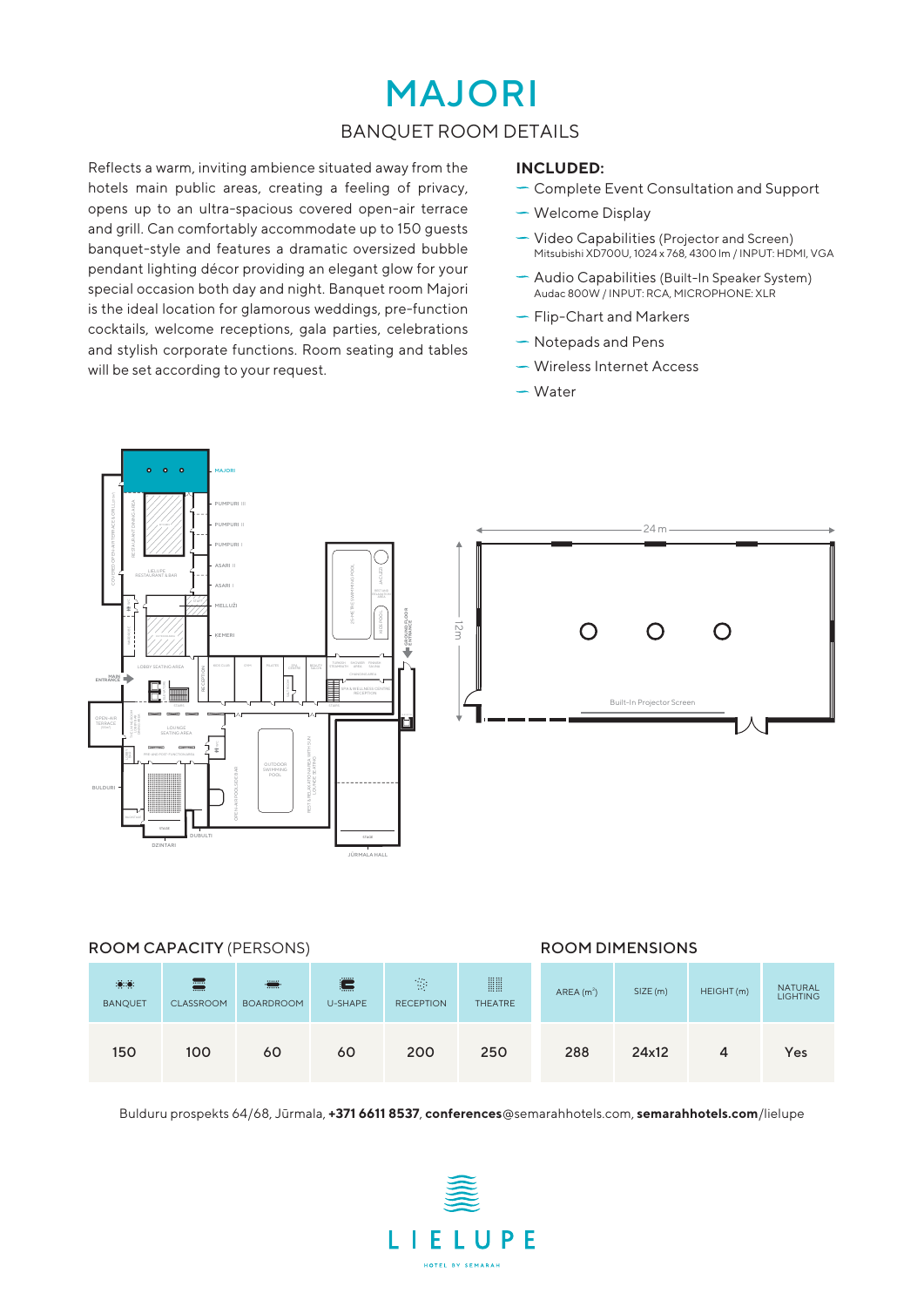### MAJORI BANQUET ROOM DETAILS

Reflects a warm, inviting ambience situated away from the hotels main public areas, creating a feeling of privacy, opens up to an ultra-spacious covered open-air terrace and grill. Can comfortably accommodate up to 150 guests banquet-style and features a dramatic oversized bubble pendant lighting décor providing an elegant glow for your special occasion both day and night. Banquet room Majori is the ideal location for glamorous weddings, pre-function cocktails, welcome receptions, gala parties, celebrations and stylish corporate functions. Room seating and tables will be set according to your request.

#### **INCLUDED:**

- Complete Event Consultation and Support
- Welcome Display
- Video Capabilities (Projector and Screen) Mitsubishi XD700U, 1024 x 768, 4300 lm / INPUT: HDMI, VGA
- Audio Capabilities (Built-In Speaker System) Audac 800W / INPUT: RCA, MICROPHONE: XLR
- ← Flip-Chart and Markers
- $\sim$  Notepads and Pens
- Wireless Internet Access
- Water



#### ROOM CAPACITY (PERSONS) ROOM DIMENSIONS

| $\dddot{\bullet}$ : $\ddot{\bullet}$ :<br><b>BANQUET</b> | <b></b><br><b></b><br><b>CLASSROOM</b> | <b>THE</b><br><b>BOARDROOM</b> | 100000<br>١ş<br>U-SHAPE | $\mathcal{P}_\mathrm{c}$<br><b>RECEPTION</b> | <b>WW</b><br><b>THEATRE</b> | AREA(m <sup>2</sup> ) | SIZE (m) | HEIGHT(m) | <b>NATURAL</b><br><b>LIGHTING</b> |
|----------------------------------------------------------|----------------------------------------|--------------------------------|-------------------------|----------------------------------------------|-----------------------------|-----------------------|----------|-----------|-----------------------------------|
| 150                                                      | 100                                    | 60                             | 60                      | 200                                          | 250                         | 288                   | 24x12    | 4         | Yes                               |

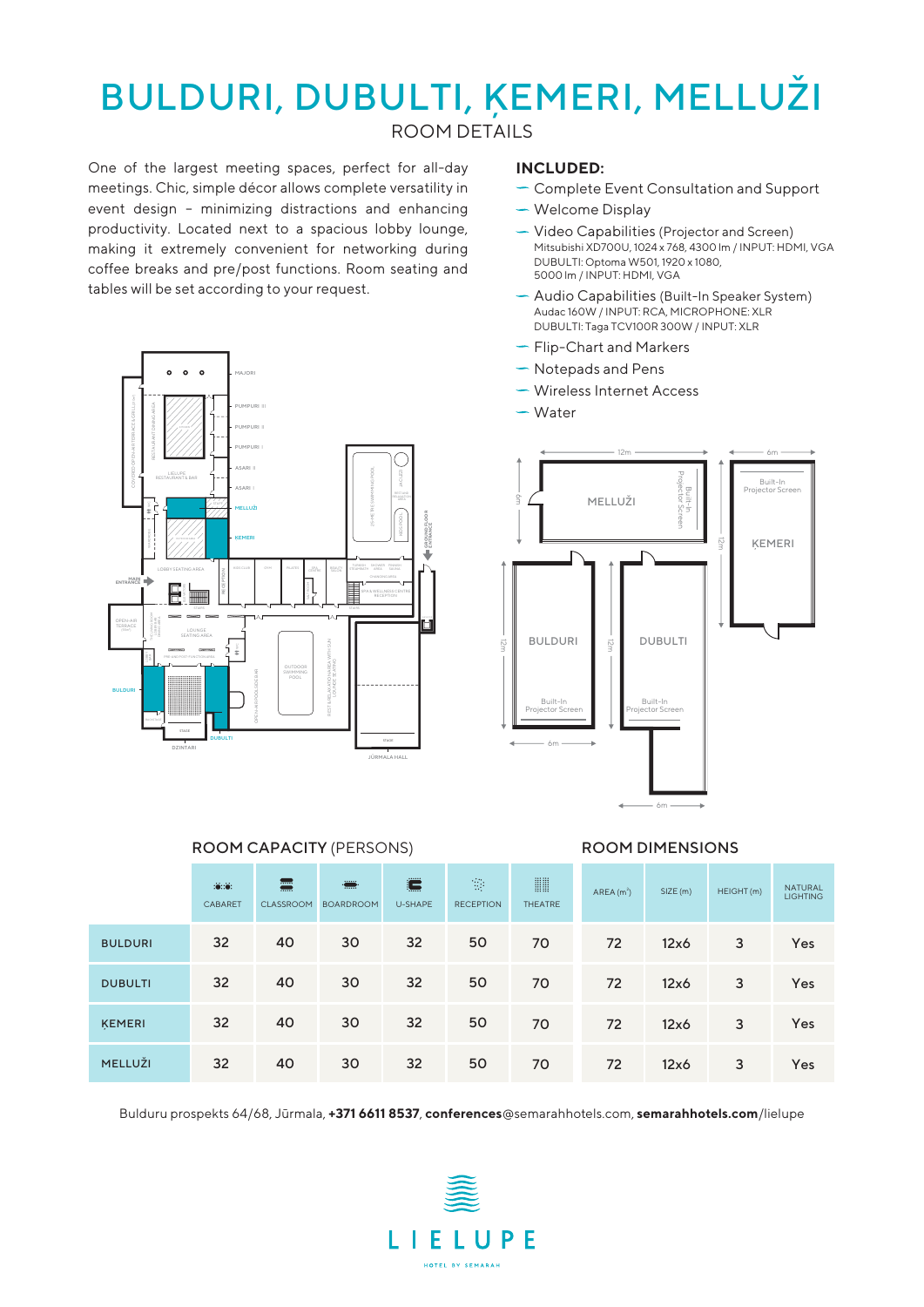## BULDURI, DUBULTI, ĶEMERI, MELLUŽI

ROOM DETAILS

One of the largest meeting spaces, perfect for all-day meetings. Chic, simple décor allows complete versatility in event design – minimizing distractions and enhancing productivity. Located next to a spacious lobby lounge, making it extremely convenient for networking during coffee breaks and pre/post functions. Room seating and tables will be set according to your request.



#### **INCLUDED:**

- Complete Event Consultation and Support
- Welcome Display
- Video Capabilities (Projector and Screen) Mitsubishi XD700U, 1024 x 768, 4300 lm / INPUT: HDMI, VGA DUBULTI: Optoma W501, 1920 x 1080, 5000 lm / INPUT: HDMI, VGA
- Audio Capabilities (Built-In Speaker System) Audac 160W / INPUT: RCA, MICROPHONE: XLR DUBULTI: Taga TCV100R 300W / INPUT: XLR
- Flip-Chart and Markers
- $\sim$  Notepads and Pens
- Wireless Internet Access
- Water



#### ROOM CAPACITY (PERSONS) ROOM DIMENSIONS

|                | : 0: 0:<br>CABARET | 壽<br>CLASSROOM | ÷<br><b>BOARDROOM</b> | Ë<br>U-SHAPE | $\mathcal{O}_{\mathcal{A}}$<br><b>RECEPTION</b> | <b>WW</b><br><b>THEATRE</b> | AREA(m <sup>2</sup> ) | SIZE (m) | HEIGHT (m) | <b>NATURAL</b><br><b>LIGHTING</b> |
|----------------|--------------------|----------------|-----------------------|--------------|-------------------------------------------------|-----------------------------|-----------------------|----------|------------|-----------------------------------|
| <b>BULDURI</b> | 32                 | 40             | 30                    | 32           | 50                                              | 70                          | 72                    | 12x6     | 3          | Yes                               |
| <b>DUBULTI</b> | 32                 | 40             | 30                    | 32           | 50                                              | 70                          | 72                    | 12x6     | 3          | Yes                               |
| <b>KEMERI</b>  | 32 <sup>2</sup>    | 40             | 30                    | 32           | 50                                              | 70                          | 72                    | 12x6     | 3          | Yes                               |
| MELLUŽI        | 32                 | 40             | 30                    | 32           | 50                                              | 70                          | 72                    | 12x6     | 3          | Yes                               |

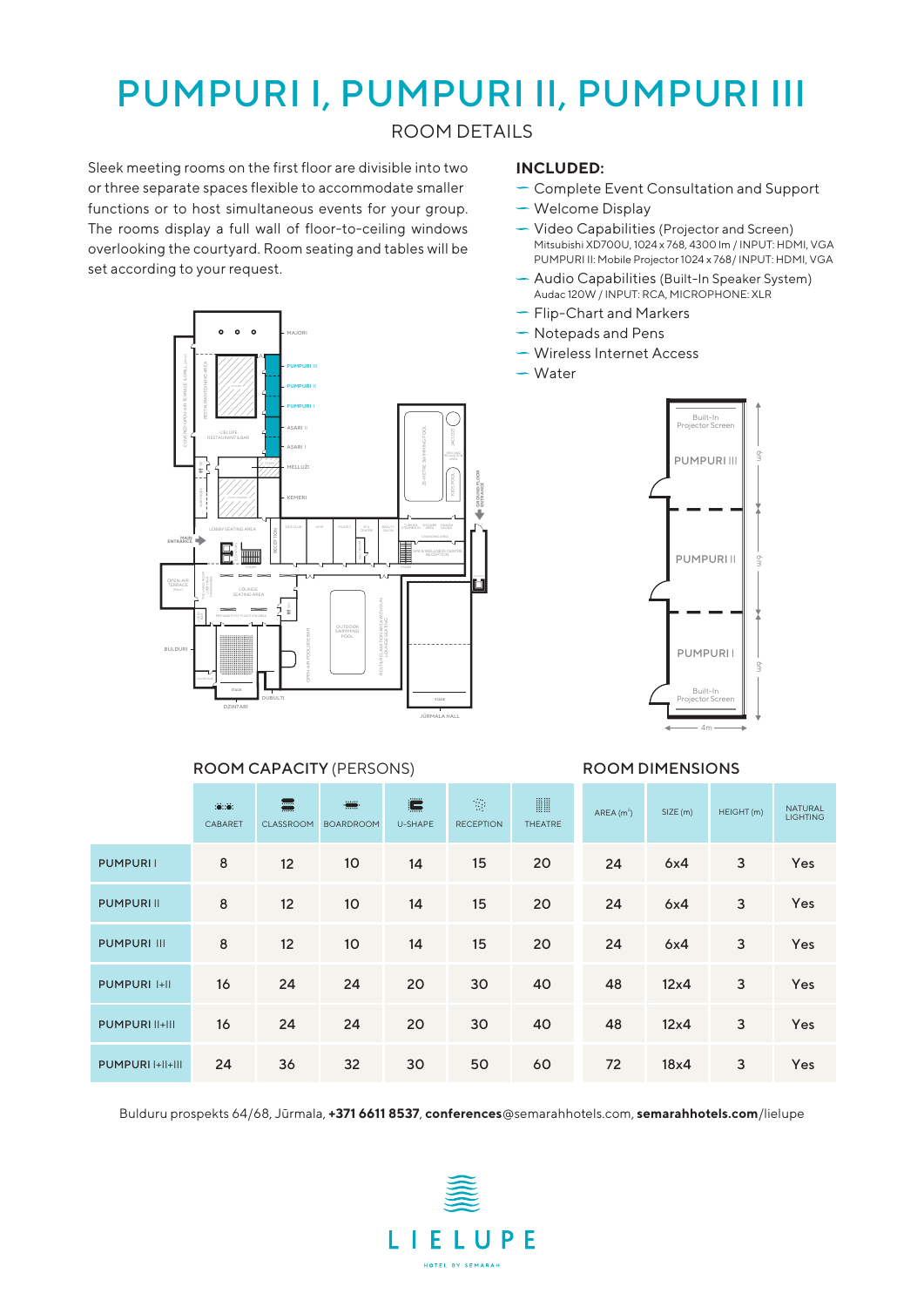### PUMPURI I, PUMPURI II, PUMPURI III

ROOM DETAILS

Sleek meeting rooms on the first floor are divisible into two or three separate spaces flexible to accommodate smaller functions or to host simultaneous events for your group. The rooms display a full wall of floor-to-ceiling windows overlooking the courtyard. Room seating and tables will be set according to your request.

#### **INCLUDED:**

- Complete Event Consultation and Support
- Welcome Display
- Video Capabilities (Projector and Screen) Mitsubishi XD700U, 1024 x 768, 4300 lm / INPUT: HDMI, VGA PUMPURI II: Mobile Projector 1024 x 768/ INPUT: HDMI, VGA
- Audio Capabilities (Built-In Speaker System) Audac 120W / INPUT: RCA, MICROPHONE: XLR
- Flip-Chart and Markers
- $\sim$  Notepads and Pens
- Wireless Internet Access
- Water



|                       | $\dddot{\bullet}$ : $\dddot{\bullet}$ :<br>CABARET | $\blacksquare$<br>$\blacksquare$<br>CLASSROOM | ÷<br><b>BOARDROOM</b> | $\blacksquare$<br>U-SHAPE | $\mathcal{O}_{\mathcal{A}}$<br><b>RECEPTION</b> | <b>WW</b><br><b>THEATRE</b> | AREA $(m2)$ | SIZE(m)     | HEIGHT(m) | <b>NATURAL</b><br><b>LIGHTING</b> |
|-----------------------|----------------------------------------------------|-----------------------------------------------|-----------------------|---------------------------|-------------------------------------------------|-----------------------------|-------------|-------------|-----------|-----------------------------------|
| <b>PUMPURII</b>       | 8                                                  | 12                                            | 10 <sup>2</sup>       | 14                        | 15                                              | 20                          | 24          | 6x4         | 3         | Yes                               |
| <b>PUMPURIII</b>      | 8                                                  | 12                                            | 10                    | 14                        | 15                                              | 20                          | 24          | 6x4         | 3         | Yes                               |
| <b>PUMPURI III</b>    | 8                                                  | 12                                            | 10 <sup>2</sup>       | 14                        | 15                                              | 20                          | 24          | 6x4         | 3         | Yes                               |
| <b>PUMPURI I+II</b>   | 16                                                 | 24                                            | 24                    | 20                        | 30                                              | 40                          | 48          | $12\times4$ | 3         | Yes                               |
| <b>PUMPURI II+III</b> | 16                                                 | 24                                            | 24                    | 20                        | 30                                              | 40                          | 48          | $12\times4$ | 3         | Yes                               |
| PUMPURI I+II+III      | 24                                                 | 36                                            | 32                    | 30                        | 50                                              | 60                          | 72          | 18x4        | 3         | Yes                               |

Bulduru prospekts 64/68, Jūrmala, **+371 6611 8537**, **conferences**@semarahhotels.com, **semarahhotels.com**/lielupe





#### ROOM CAPACITY (PERSONS) ROOM DIMENSIONS